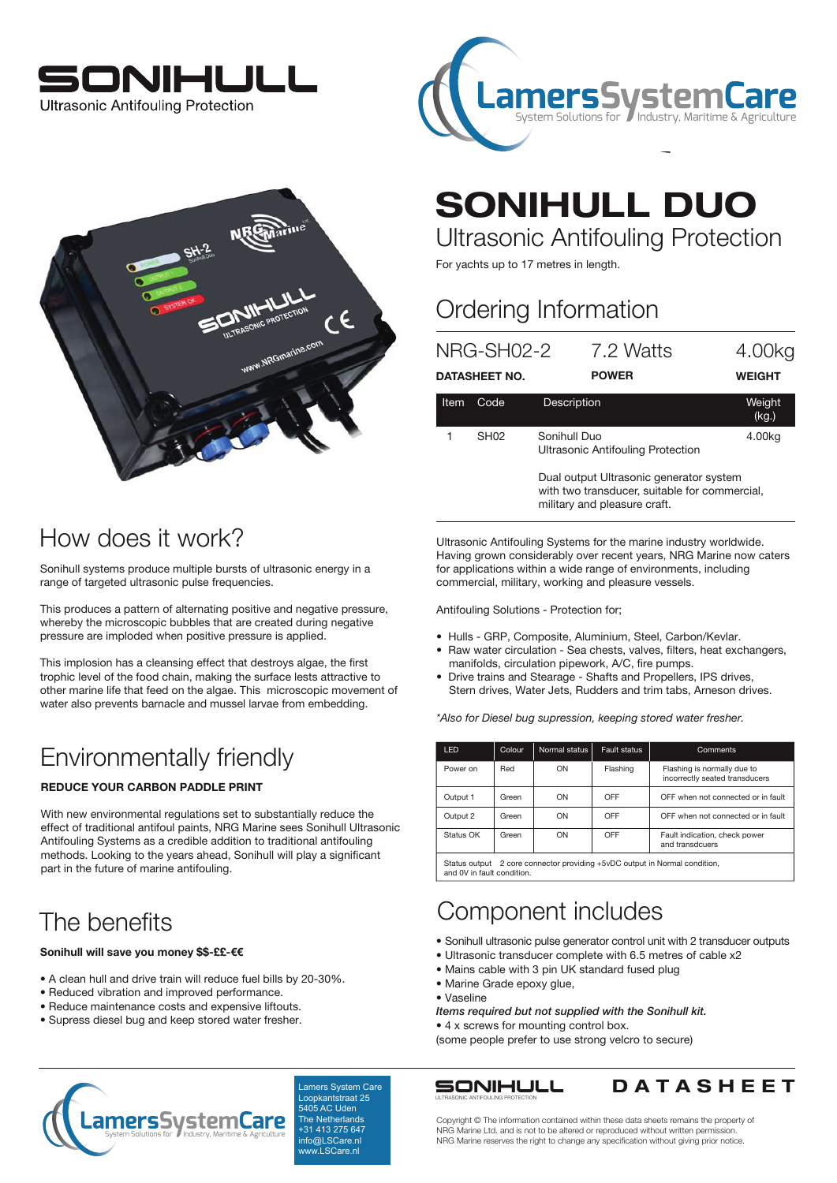





# SONIHULL DUO

Ultrasonic Antifouling Protection

For yachts up to 17 metres in length.

### Ordering Information

|             | NRG-SH02-2           | 7.2 Watts                                                                                                                | 4.00kg          |  |  |  |
|-------------|----------------------|--------------------------------------------------------------------------------------------------------------------------|-----------------|--|--|--|
|             | <b>DATASHEET NO.</b> | <b>POWER</b>                                                                                                             | <b>WEIGHT</b>   |  |  |  |
| <b>Item</b> | Code                 | Description                                                                                                              | Weight<br>(kg.) |  |  |  |
|             | SH <sub>02</sub>     | Sonihull Duo<br>4.00kg<br><b>Ultrasonic Antifouling Protection</b>                                                       |                 |  |  |  |
|             |                      | Dual output Ultrasonic generator system<br>with two transducer, suitable for commercial,<br>military and pleasure craft. |                 |  |  |  |

Ultrasonic Antifouling Systems for the marine industry worldwide. Having grown considerably over recent years, NRG Marine now caters for applications within a wide range of environments, including commercial, military, working and pleasure vessels.

Antifouling Solutions - Protection for;

- Hulls GRP, Composite, Aluminium, Steel, Carbon/Kevlar.
- Raw water circulation Sea chests, valves, filters, heat exchangers, manifolds, circulation pipework, A/C, fire pumps.
- Drive trains and Stearage Shafts and Propellers, IPS drives, Stern drives, Water Jets, Rudders and trim tabs, Arneson drives.

*\*Also for Diesel bug supression, keeping stored water fresher.*

| <b>LED</b> | Colour | Normal status | Fault status | Comments                                                      |  |
|------------|--------|---------------|--------------|---------------------------------------------------------------|--|
| Power on   | Red    | ON            | Flashing     | Flashing is normally due to<br>incorrectly seated transducers |  |
| Output 1   | Green  | ON            | OFF          | OFF when not connected or in fault                            |  |
| Output 2   | Green  | ON            | OFF          | OFF when not connected or in fault                            |  |
| Status OK  | Green  | ON            | OFF          | Fault indication, check power<br>and transdcuers              |  |
|            |        |               |              |                                                               |  |

Status output 2 core connector providing +5vDC output in Normal condition, and 0V in fault condition.

### Component includes

- Sonihull ultrasonic pulse generator control unit with 2 transducer outputs
- Ultrasonic transducer complete with 6.5 metres of cable x2
- Mains cable with 3 pin UK standard fused plug
- Marine Grade epoxy glue,
- Vaseline
- *Items required but not supplied with the Sonihull kit.*

• 4 x screws for mounting control box. (some people prefer to use strong velcro to secure)



Lamers System Care 5405 AC Uden The Netherlands +31 413 275 647 info@LSCare.nl www.LSCare.nl

ULTRASONIC ANTIFOULING PROTECTION



Copyright © The information contained within these data sheets remains the property of NRG Marine Ltd. and is not to be altered or reproduced without written permission. NRG Marine reserves the right to change any specification without giving prior notice.

### How does it work?

Sonihull systems produce multiple bursts of ultrasonic energy in a range of targeted ultrasonic pulse frequencies.

This produces a pattern of alternating positive and negative pressure, whereby the microscopic bubbles that are created during negative pressure are imploded when positive pressure is applied.

This implosion has a cleansing effect that destroys algae, the first trophic level of the food chain, making the surface lests attractive to other marine life that feed on the algae. This microscopic movement of water also prevents barnacle and mussel larvae from embedding.

### Environmentally friendly

#### REDUCE YOUR CARBON PADDLE PRINT

With new environmental regulations set to substantially reduce the effect of traditional antifoul paints, NRG Marine sees Sonihull Ultrasonic Antifouling Systems as a credible addition to traditional antifouling methods. Looking to the years ahead, Sonihull will play a significant part in the future of marine antifouling.

## The benefits

#### Sonihull will save you money \$\$-££-€€

- A clean hull and drive train will reduce fuel bills by 20-30%.
- Reduced vibration and improved performance.
- Reduce maintenance costs and expensive liftouts.
- Supress diesel bug and keep stored water fresher.